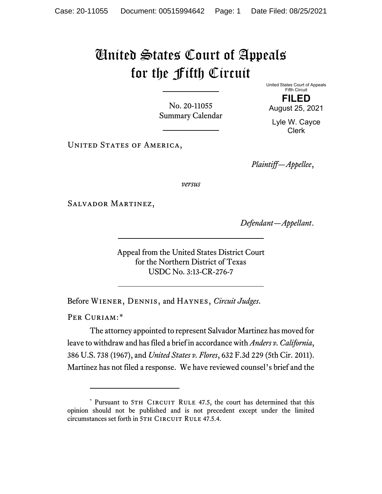## United States Court of Appeals for the Fifth Circuit

No. 20-11055 Summary Calendar United States Court of Appeals Fifth Circuit **FILED**

August 25, 2021

Lyle W. Cayce Clerk

UNITED STATES OF AMERICA,

*Plaintiff—Appellee*,

*versus*

Salvador Martinez,

*Defendant—Appellant*.

Appeal from the United States District Court for the Northern District of Texas USDC No. 3:13-CR-276-7

Before Wiener, Dennis, and Haynes, *Circuit Judges*.

PER CURIAM:[\\*](#page-0-0)

The attorney appointed to represent Salvador Martinez has moved for leave to withdraw and has filed a brief in accordance with *Anders v. California*, 386 U.S. 738 (1967), and *United States v. Flores*, 632 F.3d 229 (5th Cir. 2011). Martinez has not filed a response. We have reviewed counsel's brief and the

<span id="page-0-0"></span><sup>\*</sup> Pursuant to 5TH CIRCUIT RULE 47.5, the court has determined that this opinion should not be published and is not precedent except under the limited circumstances set forth in 5TH CIRCUIT RULE 47.5.4.